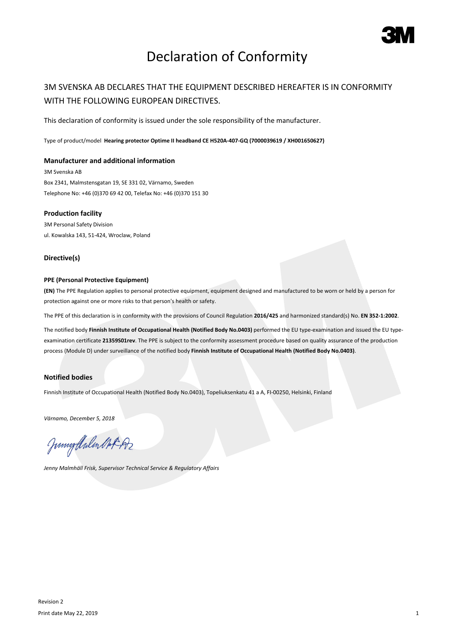

# Declaration of Conformity

## 3M SVENSKA AB DECLARES THAT THE EQUIPMENT DESCRIBED HEREAFTER IS IN CONFORMITY WITH THE FOLLOWING EUROPEAN DIRECTIVES.

This declaration of conformity is issued under the sole responsibility of the manufacturer.

Type of product/model **Hearing protector Optime II headband CE H520A-407-GQ (7000039619 / XH001650627)**

### **Manufacturer and additional information**

3M Svenska AB Box 2341, Malmstensgatan 19, SE 331 02, Värnamo, Sweden Telephone No: +46 (0)370 69 42 00, Telefax No: +46 (0)370 151 30

#### **Production facility**

3M Personal Safety Division ul. Kowalska 143, 51-424, Wroclaw, Poland

#### **Directive(s)**

#### **PPE (Personal Protective Equipment)**

**(EN)** The PPE Regulation applies to personal protective equipment, equipment designed and manufactured to be worn or held by a person for protection against one or more risks to that person's health or safety.

The PPE of this declaration is in conformity with the provisions of Council Regulation **2016/425** and harmonized standard(s) No. **EN 352-1:2002**.

The notified body **Finnish Institute of Occupational Health (Notified Body No.0403)** performed the EU type-examination and issued the EU typeexamination certificate **21359S01rev**. The PPE is subject to the conformity assessment procedure based on quality assurance of the production process (Module D) under surveillance of the notified body **Finnish Institute of Occupational Health (Notified Body No.0403)**.

### **Notified bodies**

Finnish Institute of Occupational Health (Notified Body No.0403), Topeliuksenkatu 41 a A, FI-00250, Helsinki, Finland

*Värnamo, December 5, 2018*

Junigalulen Oct 192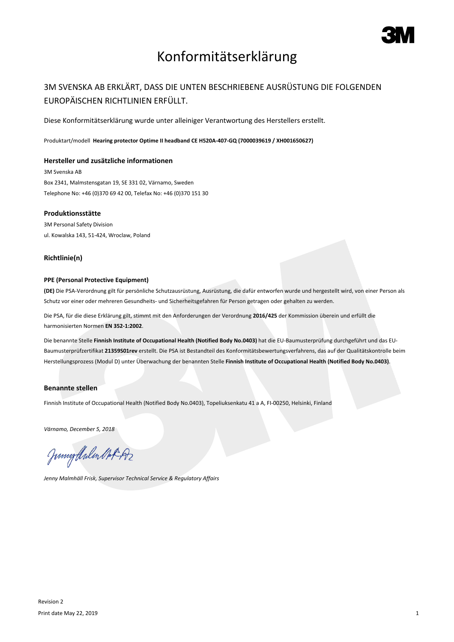

# Konformitätserklärung

## 3M SVENSKA AB ERKLÄRT, DASS DIE UNTEN BESCHRIEBENE AUSRÜSTUNG DIE FOLGENDEN EUROPÄISCHEN RICHTLINIEN ERFÜLLT.

Diese Konformitätserklärung wurde unter alleiniger Verantwortung des Herstellers erstellt.

Produktart/modell **Hearing protector Optime II headband CE H520A-407-GQ (7000039619 / XH001650627)**

#### **Hersteller und zusätzliche informationen**

3M Svenska AB Box 2341, Malmstensgatan 19, SE 331 02, Värnamo, Sweden Telephone No: +46 (0)370 69 42 00, Telefax No: +46 (0)370 151 30

#### **Produktionsstätte**

3M Personal Safety Division ul. Kowalska 143, 51-424, Wroclaw, Poland

### **Richtlinie(n)**

#### **PPE (Personal Protective Equipment)**

**(DE)** Die PSA-Verordnung gilt für persönliche Schutzausrüstung, Ausrüstung, die dafür entworfen wurde und hergestellt wird, von einer Person als Schutz vor einer oder mehreren Gesundheits- und Sicherheitsgefahren für Person getragen oder gehalten zu werden.

Die PSA, für die diese Erklärung gilt, stimmt mit den Anforderungen der Verordnung **2016/425** der Kommission überein und erfüllt die harmonisierten Normen **EN 352-1:2002**.

Die benannte Stelle **Finnish Institute of Occupational Health (Notified Body No.0403)** hat die EU-Baumusterprüfung durchgeführt und das EU-Baumusterprüfzertifikat **21359S01rev** erstellt. Die PSA ist Bestandteil des Konformitätsbewertungsverfahrens, das auf der Qualitätskontrolle beim Herstellungsprozess (Modul D) unter Überwachung der benannten Stelle **Finnish Institute of Occupational Health (Notified Body No.0403)**.

### **Benannte stellen**

Finnish Institute of Occupational Health (Notified Body No.0403), Topeliuksenkatu 41 a A, FI-00250, Helsinki, Finland

*Värnamo, December 5, 2018*

Junnytlalen Not Az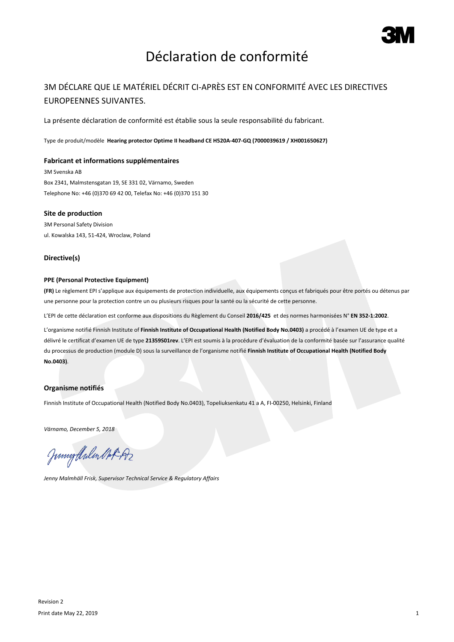

# Déclaration de conformité

## 3M DÉCLARE QUE LE MATÉRIEL DÉCRIT CI-APRÈS EST EN CONFORMITÉ AVEC LES DIRECTIVES EUROPEENNES SUIVANTES.

La présente déclaration de conformité est établie sous la seule responsabilité du fabricant.

Type de produit/modèle **Hearing protector Optime II headband CE H520A-407-GQ (7000039619 / XH001650627)**

#### **Fabricant et informations supplémentaires**

3M Svenska AB Box 2341, Malmstensgatan 19, SE 331 02, Värnamo, Sweden Telephone No: +46 (0)370 69 42 00, Telefax No: +46 (0)370 151 30

#### **Site de production**

3M Personal Safety Division ul. Kowalska 143, 51-424, Wroclaw, Poland

#### **Directive(s)**

### **PPE (Personal Protective Equipment)**

**(FR)** Le règlement EPI s'applique aux équipements de protection individuelle, aux équipements conçus et fabriqués pour être portés ou détenus par une personne pour la protection contre un ou plusieurs risques pour la santé ou la sécurité de cette personne.

L'EPI de cette déclaration est conforme aux dispositions du Règlement du Conseil **2016/425** et des normes harmonisées N° **EN 352-1:2002**.

L'organisme notifié Finnish Institute of **Finnish Institute of Occupational Health (Notified Body No.0403)** a procédé à l'examen UE de type et a délivré le certificat d'examen UE de type **21359S01rev**. L'EPI est soumis à la procédure d'évaluation de la conformité basée sur l'assurance qualité du processus de production (module D) sous la surveillance de l'organisme notifié **Finnish Institute of Occupational Health (Notified Body No.0403)**.

### **Organisme notifiés**

Finnish Institute of Occupational Health (Notified Body No.0403), Topeliuksenkatu 41 a A, FI-00250, Helsinki, Finland

*Värnamo, December 5, 2018*

Junnytlalen Not Az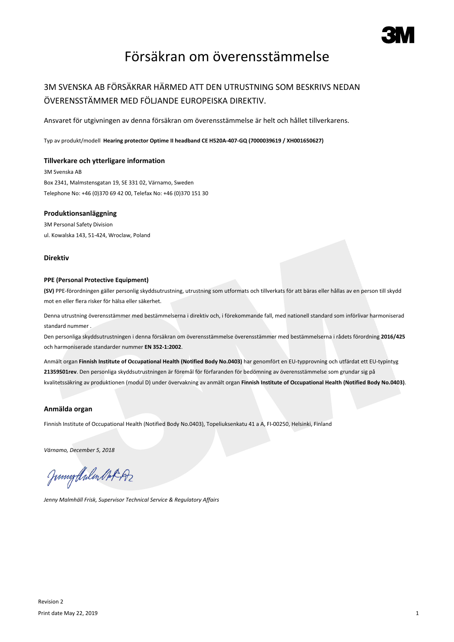

## Försäkran om överensstämmelse

## 3M SVENSKA AB FÖRSÄKRAR HÄRMED ATT DEN UTRUSTNING SOM BESKRIVS NEDAN ÖVERENSSTÄMMER MED FÖLJANDE EUROPEISKA DIREKTIV.

Ansvaret för utgivningen av denna försäkran om överensstämmelse är helt och hållet tillverkarens.

Typ av produkt/modell **Hearing protector Optime II headband CE H520A-407-GQ (7000039619 / XH001650627)**

#### **Tillverkare och ytterligare information**

3M Svenska AB Box 2341, Malmstensgatan 19, SE 331 02, Värnamo, Sweden Telephone No: +46 (0)370 69 42 00, Telefax No: +46 (0)370 151 30

#### **Produktionsanläggning**

3M Personal Safety Division ul. Kowalska 143, 51-424, Wroclaw, Poland

#### **Direktiv**

#### **PPE (Personal Protective Equipment)**

**(SV)** PPE-förordningen gäller personlig skyddsutrustning, utrustning som utformats och tillverkats för att bäras eller hållas av en person till skydd mot en eller flera risker för hälsa eller säkerhet.

Denna utrustning överensstämmer med bestämmelserna i direktiv och, i förekommande fall, med nationell standard som införlivar harmoniserad standard nummer .

Den personliga skyddsutrustningen i denna försäkran om överensstämmelse överensstämmer med bestämmelserna i rådets förordning **2016/425** och harmoniserade standarder nummer **EN 352-1:2002**.

Anmält organ **Finnish Institute of Occupational Health (Notified Body No.0403)** har genomfört en EU-typprovning och utfärdat ett EU-typintyg **21359S01rev**. Den personliga skyddsutrustningen är föremål för förfaranden för bedömning av överensstämmelse som grundar sig på kvalitetssäkring av produktionen (modul D) under övervakning av anmält organ **Finnish Institute of Occupational Health (Notified Body No.0403)**.

#### **Anmälda organ**

Finnish Institute of Occupational Health (Notified Body No.0403), Topeliuksenkatu 41 a A, FI-00250, Helsinki, Finland

*Värnamo, December 5, 2018*

Junigalulen Oct 192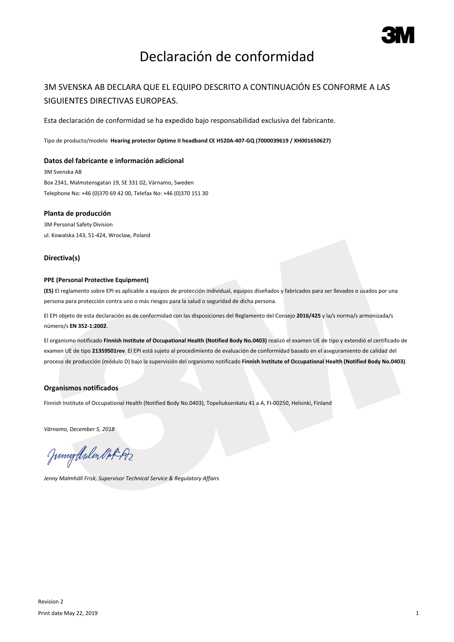

# Declaración de conformidad

## 3M SVENSKA AB DECLARA QUE EL EQUIPO DESCRITO A CONTINUACIÓN ES CONFORME A LAS SIGUIENTES DIRECTIVAS EUROPEAS.

Esta declaración de conformidad se ha expedido bajo responsabilidad exclusiva del fabricante.

Tipo de producto/modelo **Hearing protector Optime II headband CE H520A-407-GQ (7000039619 / XH001650627)**

#### **Datos del fabricante e información adicional**

3M Svenska AB Box 2341, Malmstensgatan 19, SE 331 02, Värnamo, Sweden Telephone No: +46 (0)370 69 42 00, Telefax No: +46 (0)370 151 30

#### **Planta de producción**

3M Personal Safety Division ul. Kowalska 143, 51-424, Wroclaw, Poland

#### **Directiva(s)**

### **PPE (Personal Protective Equipment)**

**(ES)** El reglamento sobre EPI es aplicable a equipos de protección individual, equipos diseñados y fabricados para ser llevados o usados por una persona para protección contra uno o más riesgos para la salud o seguridad de dicha persona.

El EPI objeto de esta declaración es de conformidad con las disposiciones del Reglamento del Consejo **2016/425** y la/s norma/s armonizada/s número/s **EN 352-1:2002**.

El organismo notificado **Finnish Institute of Occupational Health (Notified Body No.0403)** realizó el examen UE de tipo y extendió el certificado de examen UE de tipo **21359S01rev**. El EPI está sujeto al procedimiento de evaluación de conformidad basado en el aseguramiento de calidad del proceso de producción (módulo D) bajo la supervisión del organismo notificado **Finnish Institute of Occupational Health (Notified Body No.0403)**.

#### **Organismos notificados**

Finnish Institute of Occupational Health (Notified Body No.0403), Topeliuksenkatu 41 a A, FI-00250, Helsinki, Finland

*Värnamo, December 5, 2018*

Junnytlalen Not Az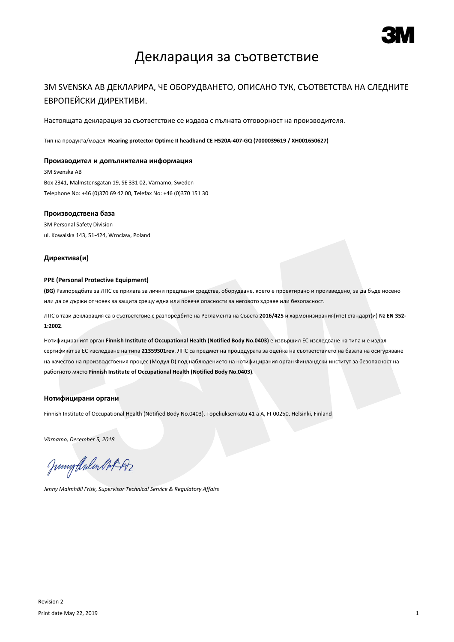

## Декларация за съответствие

### 3M SVENSKA AB ДЕКЛАРИРА, ЧЕ ОБОРУДВАНЕТО, ОПИСАНО ТУК, СЪОТВЕТСТВА НА СЛЕДНИТЕ ЕВРОПЕЙСКИ ДИРЕКТИВИ.

Настоящата декларация за съответствие се издава с пълната отговорност на производителя.

Тип на продукта/модел **Hearing protector Optime II headband CE H520A-407-GQ (7000039619 / XH001650627)**

#### **Производител и допълнителна информация**

3M Svenska AB Box 2341, Malmstensgatan 19, SE 331 02, Värnamo, Sweden Telephone No: +46 (0)370 69 42 00, Telefax No: +46 (0)370 151 30

#### **Производствена база**

3M Personal Safety Division ul. Kowalska 143, 51-424, Wroclaw, Poland

#### **Директива(и)**

#### **PPE (Personal Protective Equipment)**

**(BG)** Разпоредбата за ЛПС се прилага за лични предпазни средства, оборудване, което е проектирано и произведено, за да бъде носено или да се държи от човек за защита срещу една или повече опасности за неговото здраве или безопасност.

ЛПС в тази декларация са в съответствие с разпоредбите на Регламента на Съвета **2016/425** и хармонизирания(ите) стандарт(и) № **EN 352- 1:2002**.

Нотифицираният орган **Finnish Institute of Occupational Health (Notified Body No.0403)** е извършил ЕС изследване на типа и е издал сертификат за ЕС изследване на типа **21359S01rev**. ЛПС са предмет на процедурата за оценка на съответствието на базата на осигуряване на качество на производствения процес (Модул D) под наблюдението на нотифицирания орган Финландски институт за безопасност на работното място **Finnish Institute of Occupational Health (Notified Body No.0403)**.

#### **Нотифицирани органи**

Finnish Institute of Occupational Health (Notified Body No.0403), Topeliuksenkatu 41 a A, FI-00250, Helsinki, Finland

*Värnamo, December 5, 2018*

Junigthalen Mot 192

*Jenny Malmhäll Frisk, Supervisor Technical Service & Regulatory Affairs*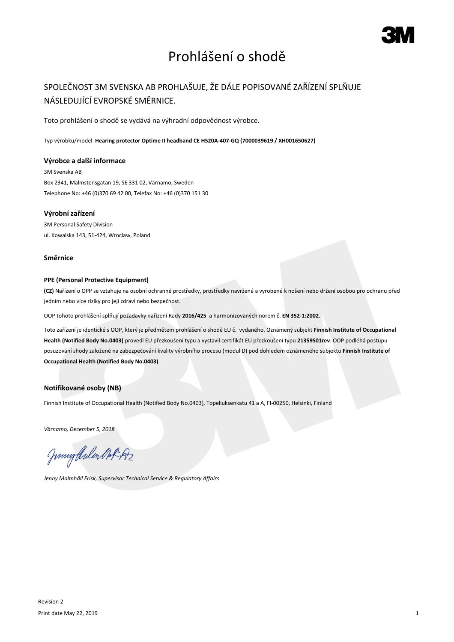# Prohlášení o shodě

## SPOLEČNOST 3M SVENSKA AB PROHLAŠUJE, ŽE DÁLE POPISOVANÉ ZAŘÍZENÍ SPLŇUJE NÁSLEDUJÍCÍ EVROPSKÉ SMĚRNICE.

Toto prohlášení o shodě se vydává na výhradní odpovědnost výrobce.

Typ výrobku/model **Hearing protector Optime II headband CE H520A-407-GQ (7000039619 / XH001650627)**

#### **Výrobce a další informace**

3M Svenska AB Box 2341, Malmstensgatan 19, SE 331 02, Värnamo, Sweden Telephone No: +46 (0)370 69 42 00, Telefax No: +46 (0)370 151 30

### **Výrobní zařízení**

3M Personal Safety Division ul. Kowalska 143, 51-424, Wroclaw, Poland

#### **Směrnice**

### **PPE (Personal Protective Equipment)**

**(CZ)** Nařízení o OPP se vztahuje na osobní ochranné prostředky, prostředky navržené a vyrobené k nošení nebo držení osobou pro ochranu před jedním nebo více riziky pro její zdraví nebo bezpečnost.

OOP tohoto prohlášení splňují požadavky nařízení Rady **2016/425** a harmonizovaných norem č. **EN 352-1:2002**.

Toto zařízení je identické s OOP, který je předmětem prohlášení o shodě EU č. vydaného. Oznámený subjekt **Finnish Institute of Occupational Health (Notified Body No.0403)** provedl EU přezkoušení typu a vystavil certifikát EU přezkoušení typu **21359S01rev**. OOP podléhá postupu posuzování shody založené na zabezpečování kvality výrobního procesu (modul D) pod dohledem oznámeného subjektu **Finnish Institute of Occupational Health (Notified Body No.0403)**.

### **Notifikované osoby (NB)**

Finnish Institute of Occupational Health (Notified Body No.0403), Topeliuksenkatu 41 a A, FI-00250, Helsinki, Finland

*Värnamo, December 5, 2018*

Junnytlalen Not Az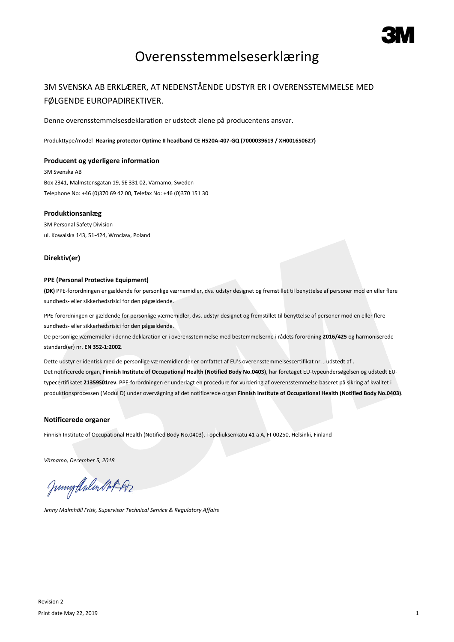

## Overensstemmelseserklæring

## 3M SVENSKA AB ERKLÆRER, AT NEDENSTÅENDE UDSTYR ER I OVERENSSTEMMELSE MED FØLGENDE EUROPADIREKTIVER.

Denne overensstemmelsesdeklaration er udstedt alene på producentens ansvar.

Produkttype/model **Hearing protector Optime II headband CE H520A-407-GQ (7000039619 / XH001650627)**

#### **Producent og yderligere information**

3M Svenska AB Box 2341, Malmstensgatan 19, SE 331 02, Värnamo, Sweden Telephone No: +46 (0)370 69 42 00, Telefax No: +46 (0)370 151 30

#### **Produktionsanlæg**

3M Personal Safety Division ul. Kowalska 143, 51-424, Wroclaw, Poland

#### **Direktiv(er)**

#### **PPE (Personal Protective Equipment)**

**(DK)** PPE-forordningen er gældende for personlige værnemidler, dvs. udstyr designet og fremstillet til benyttelse af personer mod en eller flere sundheds- eller sikkerhedsrisici for den pågældende.

PPE-forordningen er gældende for personlige værnemidler, dvs. udstyr designet og fremstillet til benyttelse af personer mod en eller flere sundheds- eller sikkerhedsrisici for den pågældende.

De personlige værnemidler i denne deklaration er i overensstemmelse med bestemmelserne i rådets forordning **2016/425** og harmoniserede standard(er) nr. **EN 352-1:2002**.

Dette udstyr er identisk med de personlige værnemidler der er omfattet af EU's overensstemmelsescertifikat nr. , udstedt af . Det notificerede organ, **Finnish Institute of Occupational Health (Notified Body No.0403)**, har foretaget EU-typeundersøgelsen og udstedt EUtypecertifikatet **21359S01rev**. PPE-forordningen er underlagt en procedure for vurdering af overensstemmelse baseret på sikring af kvalitet i produktionsprocessen (Modul D) under overvågning af det notificerede organ **Finnish Institute of Occupational Health (Notified Body No.0403)**.

#### **Notificerede organer**

Finnish Institute of Occupational Health (Notified Body No.0403), Topeliuksenkatu 41 a A, FI-00250, Helsinki, Finland

*Värnamo, December 5, 2018*

Juniof Arlen Mot 192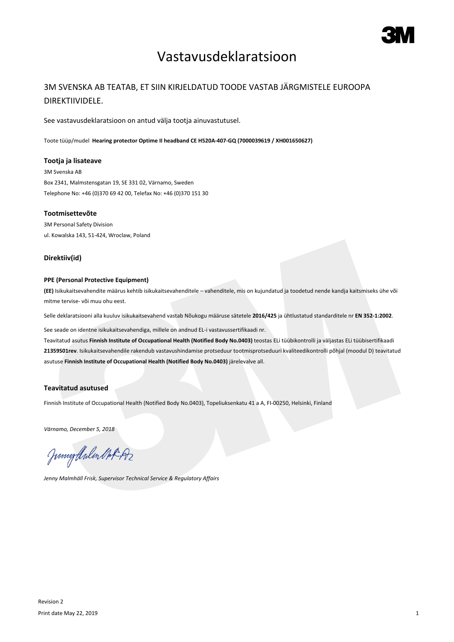## Vastavusdeklaratsioon

## 3M SVENSKA AB TEATAB, ET SIIN KIRJELDATUD TOODE VASTAB JÄRGMISTELE EUROOPA DIREKTIIVIDELE.

See vastavusdeklaratsioon on antud välja tootja ainuvastutusel.

Toote tüüp/mudel **Hearing protector Optime II headband CE H520A-407-GQ (7000039619 / XH001650627)**

#### **Tootja ja lisateave**

3M Svenska AB Box 2341, Malmstensgatan 19, SE 331 02, Värnamo, Sweden Telephone No: +46 (0)370 69 42 00, Telefax No: +46 (0)370 151 30

#### **Tootmisettevõte**

3M Personal Safety Division ul. Kowalska 143, 51-424, Wroclaw, Poland

### **Direktiiv(id)**

### **PPE (Personal Protective Equipment)**

**(EE)** Isikukaitsevahendite määrus kehtib isikukaitsevahenditele – vahenditele, mis on kujundatud ja toodetud nende kandja kaitsmiseks ühe või mitme tervise- või muu ohu eest.

Selle deklaratsiooni alla kuuluv isikukaitsevahend vastab Nõukogu määruse sätetele **2016/425** ja ühtlustatud standarditele nr **EN 352-1:2002**.

See seade on identne isikukaitsevahendiga, millele on andnud EL-i vastavussertifikaadi nr.

Teavitatud asutus **Finnish Institute of Occupational Health (Notified Body No.0403)** teostas ELi tüübikontrolli ja väljastas ELi tüübisertifikaadi **21359S01rev**. Isikukaitsevahendile rakendub vastavushindamise protseduur tootmisprotseduuri kvaliteedikontrolli põhjal (moodul D) teavitatud asutuse **Finnish Institute of Occupational Health (Notified Body No.0403)** järelevalve all.

#### **Teavitatud asutused**

Finnish Institute of Occupational Health (Notified Body No.0403), Topeliuksenkatu 41 a A, FI-00250, Helsinki, Finland

*Värnamo, December 5, 2018*

Junnytlalen Not Az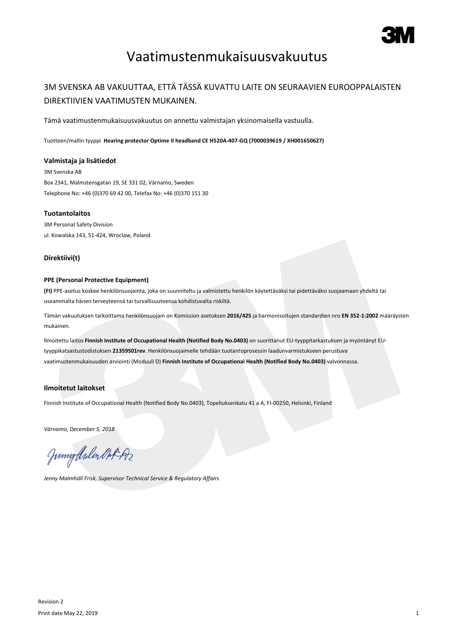

# Vaatimustenmukaisuusvakuutus

## 3M SVENSKA AB VAKUUTTAA, ETTÄ TÄSSÄ KUVATTU LAITE ON SEURAAVIEN EUROOPPALAISTEN DIREKTIIVIEN VAATIMUSTEN MUKAINEN.

Tämä vaatimustenmukaisuusvakuutus on annettu valmistajan yksinomaisella vastuulla.

Tuotteen/mallin tyyppi **Hearing protector Optime II headband CE H520A-407-GQ (7000039619 / XH001650627)**

#### **Valmistaja ja lisätiedot**

3M Svenska AB Box 2341, Malmstensgatan 19, SE 331 02, Värnamo, Sweden Telephone No: +46 (0)370 69 42 00, Telefax No: +46 (0)370 151 30

#### **Tuotantolaitos**

3M Personal Safety Division ul. Kowalska 143, 51-424, Wroclaw, Poland

### **Direktiivi(t)**

#### **PPE (Personal Protective Equipment)**

**(FI)** PPE-asetus koskee henkilönsuojainta, joka on suunniteltu ja valmistettu henkilön käytettäväksi tai pidettäväksi suojaamaan yhdeltä tai useammalta hänen terveyteensä tai turvallisuuteensa kohdistuvalta riskiltä.

Tämän vakuutuksen tarkoittama henkilönsuojain on Komission asetuksen **2016/425** ja harmonisoitujen standardien nro **EN 352-1:2002** määräysten mukainen.

Ilmoitettu laitos **Finnish Institute of Occupational Health (Notified Body No.0403)** on suorittanut EU-tyyppitarkastuksen ja myöntänyt EUtyyppikatsastustodistuksen **21359S01rev**. Henkilönsuojaimelle tehdään tuotantoprosessin laadunvarmistukseen perustuva vaatimustenmukaisuuden arviointi (Moduuli D) **Finnish Institute of Occupational Health (Notified Body No.0403)** valvonnassa.

### **Ilmoitetut laitokset**

Finnish Institute of Occupational Health (Notified Body No.0403), Topeliuksenkatu 41 a A, FI-00250, Helsinki, Finland

*Värnamo, December 5, 2018*

Junnytlalen Not Az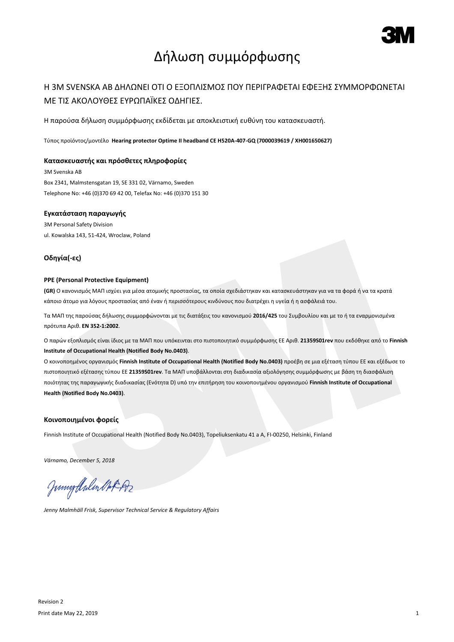

# Δήλωση συμμόρφωσης

## Η 3M SVENSKA AB ΔΗΛΩΝΕΙ ΟΤΙ Ο ΕΞΟΠΛΙΣΜΟΣ ΠΟΥ ΠΕΡΙΓΡΑΦΕΤΑΙ ΕΦΕΞΗΣ ΣΥΜΜΟΡΦΩΝΕΤΑΙ ΜΕ ΤΙΣ ΑΚΟΛΟΥΘΕΣ ΕΥΡΩΠΑΪΚΕΣ ΟΔΗΓΙΕΣ.

Η παρούσα δήλωση συμμόρφωσης εκδίδεται με αποκλειστική ευθύνη του κατασκευαστή.

Τύπος προϊόντος/μοντέλο **Hearing protector Optime II headband CE H520A-407-GQ (7000039619 / XH001650627)**

#### **Κατασκευαστής και πρόσθετες πληροφορίες**

3M Svenska AB Box 2341, Malmstensgatan 19, SE 331 02, Värnamo, Sweden Telephone No: +46 (0)370 69 42 00, Telefax No: +46 (0)370 151 30

#### **Εγκατάσταση παραγωγής**

3M Personal Safety Division ul. Kowalska 143, 51-424, Wroclaw, Poland

#### **Οδηγία(-ες)**

#### **PPE (Personal Protective Equipment)**

**(GR)** Ο κανονισμός ΜΑΠ ισχύει για μέσα ατομικής προστασίας, τα οποία σχεδιάστηκαν και κατασκευάστηκαν για να τα φορά ή να τα κρατά κάποιο άτομο για λόγους προστασίας από έναν ή περισσότερους κινδύνους που διατρέχει η υγεία ή η ασφάλειά του.

Τα ΜΑΠ της παρούσας δήλωσης συμμορφώνονται με τις διατάξεις του κανονισμού **2016/425** του Συμβουλίου και με το ή τα εναρµονισµένα πρότυπα Αριθ. **EN 352-1:2002**.

Ο παρών εξοπλισμός είναι ίδιος με τα ΜΑΠ που υπόκεινται στο πιστοποιητικό συμμόρφωσης ΕΕ Αριθ. **21359S01rev** που εκδόθηκε από το **Finnish Institute of Occupational Health (Notified Body No.0403)**.

Ο κοινοποημένος οργανισμός **Finnish Institute of Occupational Health (Notified Body No.0403)** προέβη σε μια εξέταση τύπου ΕΕ και εξέδωσε το πιστοποιητικό εξέτασης τύπου ΕΕ **21359S01rev**. Τα ΜΑΠ υποβάλλονται στη διαδικασία αξιολόγησης συμμόρφωσης με βάση τη διασφάλιση ποιότητας της παραγωγικής διαδικασίας (Ενότητα D) υπό την επιτήρηση του κοινοποιημένου οργανισμού **Finnish Institute of Occupational Health (Notified Body No.0403)**.

#### **Κοινοποιημένοι φορείς**

Finnish Institute of Occupational Health (Notified Body No.0403), Topeliuksenkatu 41 a A, FI-00250, Helsinki, Finland

*Värnamo, December 5, 2018*

Juniof Arlen Mot 192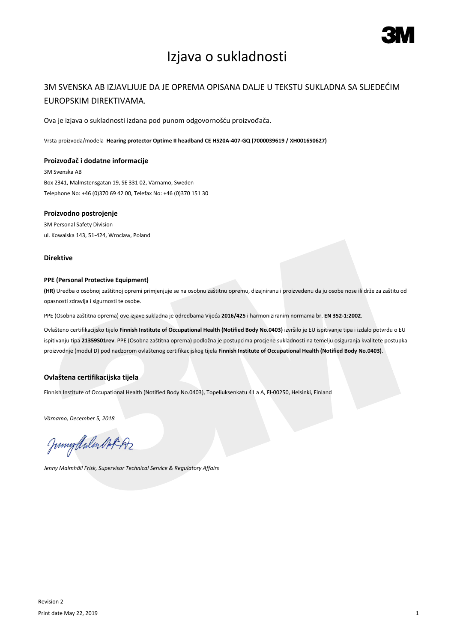

# Izjava o sukladnosti

## 3M SVENSKA AB IZJAVLJUJE DA JE OPREMA OPISANA DALJE U TEKSTU SUKLADNA SA SLJEDEĆIM EUROPSKIM DIREKTIVAMA.

Ova je izjava o sukladnosti izdana pod punom odgovornošću proizvođača.

Vrsta proizvoda/modela **Hearing protector Optime II headband CE H520A-407-GQ (7000039619 / XH001650627)**

#### **Proizvođač i dodatne informacije**

3M Svenska AB Box 2341, Malmstensgatan 19, SE 331 02, Värnamo, Sweden Telephone No: +46 (0)370 69 42 00, Telefax No: +46 (0)370 151 30

#### **Proizvodno postrojenje**

3M Personal Safety Division ul. Kowalska 143, 51-424, Wroclaw, Poland

#### **Direktive**

#### **PPE (Personal Protective Equipment)**

**(HR)** Uredba o osobnoj zaštitnoj opremi primjenjuje se na osobnu zaštitnu opremu, dizajniranu i proizvedenu da ju osobe nose ili drže za zaštitu od opasnosti zdravlja i sigurnosti te osobe.

PPE (Osobna zaštitna oprema) ove izjave sukladna je odredbama Vijeća **2016/425** i harmoniziranim normama br. **EN 352-1:2002**.

Ovlašteno certifikacijsko tijelo **Finnish Institute of Occupational Health (Notified Body No.0403)** izvršilo je EU ispitivanje tipa i izdalo potvrdu o EU ispitivanju tipa **21359S01rev**. PPE (Osobna zaštitna oprema) podložna je postupcima procjene sukladnosti na temelju osiguranja kvalitete postupka proizvodnje (modul D) pod nadzorom ovlaštenog certifikacijskog tijela **Finnish Institute of Occupational Health (Notified Body No.0403)**.

### **Ovlaštena certifikacijska tijela**

Finnish Institute of Occupational Health (Notified Body No.0403), Topeliuksenkatu 41 a A, FI-00250, Helsinki, Finland

*Värnamo, December 5, 2018*

Junigalulen Oct 192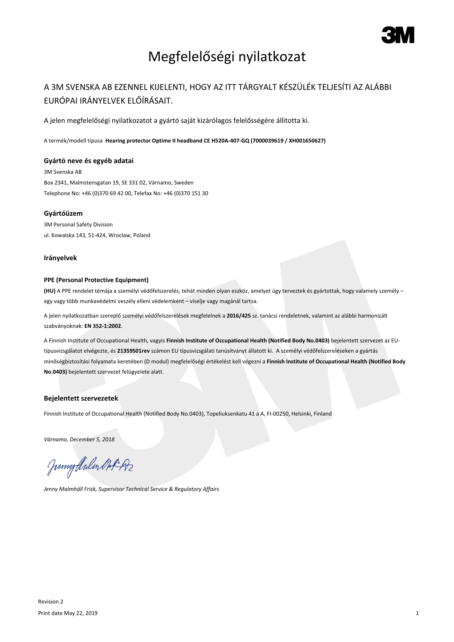

# Megfelelőségi nyilatkozat

## A 3M SVENSKA AB EZENNEL KIJELENTI, HOGY AZ ITT TÁRGYALT KÉSZÜLÉK TELJESÍTI AZ ALÁBBI EURÓPAI IRÁNYELVEK ELŐÍRÁSAIT.

A jelen megfelelőségi nyilatkozatot a gyártó saját kizárólagos felelősségére állította ki.

A termék/modell típusa **Hearing protector Optime II headband CE H520A-407-GQ (7000039619 / XH001650627)**

#### **Gyártó neve és egyéb adatai**

3M Svenska AB Box 2341, Malmstensgatan 19, SE 331 02, Värnamo, Sweden Telephone No: +46 (0)370 69 42 00, Telefax No: +46 (0)370 151 30

#### **Gyártóüzem**

3M Personal Safety Division ul. Kowalska 143, 51-424, Wroclaw, Poland

#### **Irányelvek**

#### **PPE (Personal Protective Equipment)**

**(HU)** A PPE rendelet témája a személyi védőfelszerelés, tehát minden olyan eszköz, amelyet úgy terveztek és gyártottak, hogy valamely személy – egy vagy több munkavédelmi veszély elleni védelemként – viselje vagy magánál tartsa.

A jelen nyilatkozatban szereplő személyi védőfelszerelések megfelelnek a **2016/425** sz. tanácsi rendeletnek, valamint az alábbi harmonizált szabványoknak: **EN 352-1:2002**.

A Finnish Institute of Occupational Health, vagyis **Finnish Institute of Occupational Health (Notified Body No.0403)** bejelentett szervezet az EUtípusvizsgálatot elvégezte, és **21359S01rev** számon EU típusvizsgálati tanúsítványt állatott ki. A személyi védőfelszereléseken a gyártás minőségbiztosítási folyamata keretében (D modul) megfelelőségi értékelést kell végezni a **Finnish Institute of Occupational Health (Notified Body No.0403)** bejelentett szervezet felügyelete alatt.

#### **Bejelentett szervezetek**

Finnish Institute of Occupational Health (Notified Body No.0403), Topeliuksenkatu 41 a A, FI-00250, Helsinki, Finland

*Värnamo, December 5, 2018*

Junigthalen Mot 192

*Jenny Malmhäll Frisk, Supervisor Technical Service & Regulatory Affairs*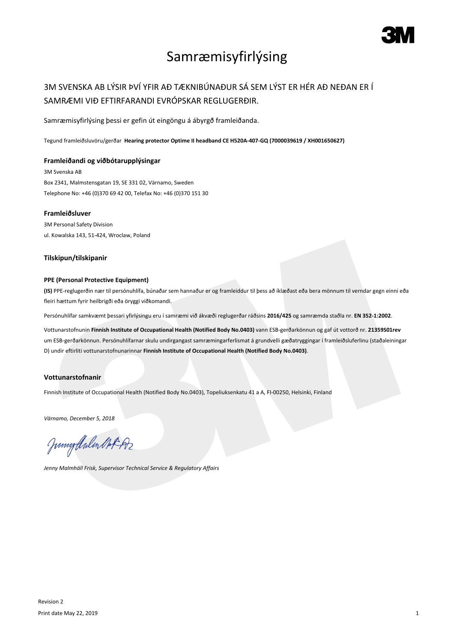

# Samræmisyfirlýsing

## 3M SVENSKA AB LÝSIR ÞVÍ YFIR AÐ TÆKNIBÚNAÐUR SÁ SEM LÝST ER HÉR AÐ NEÐAN ER Í SAMRÆMI VIÐ EFTIRFARANDI EVRÓPSKAR REGLUGERÐIR.

Samræmisyfirlýsing þessi er gefin út eingöngu á ábyrgð framleiðanda.

Tegund framleiðsluvöru/gerðar **Hearing protector Optime II headband CE H520A-407-GQ (7000039619 / XH001650627)**

#### **Framleiðandi og viðbótarupplýsingar**

3M Svenska AB Box 2341, Malmstensgatan 19, SE 331 02, Värnamo, Sweden Telephone No: +46 (0)370 69 42 00, Telefax No: +46 (0)370 151 30

### **Framleiðsluver**

3M Personal Safety Division ul. Kowalska 143, 51-424, Wroclaw, Poland

### **Tilskipun/tilskipanir**

#### **PPE (Personal Protective Equipment)**

**(IS)** PPE-reglugerðin nær til persónuhlífa, búnaðar sem hannaður er og framleiddur til þess að íklæðast eða bera mönnum til verndar gegn einni eða fleiri hættum fyrir heilbrigði eða öryggi viðkomandi.

Persónuhlífar samkvæmt þessari yfirlýsingu eru í samræmi við ákvæði reglugerðar ráðsins **2016/425** og samræmda staðla nr. **EN 352-1:2002**.

Vottunarstofnunin **Finnish Institute of Occupational Health (Notified Body No.0403)** vann ESB-gerðarkönnun og gaf út vottorð nr. **21359S01rev** um ESB-gerðarkönnun. Persónuhlífarnar skulu undirgangast samræmingarferlismat á grundvelli gæðatryggingar í framleiðsluferlinu (staðaleiningar D) undir eftirliti vottunarstofnunarinnar **Finnish Institute of Occupational Health (Notified Body No.0403)**.

### **Vottunarstofnanir**

Finnish Institute of Occupational Health (Notified Body No.0403), Topeliuksenkatu 41 a A, FI-00250, Helsinki, Finland

*Värnamo, December 5, 2018*

Junigalulen Oct 192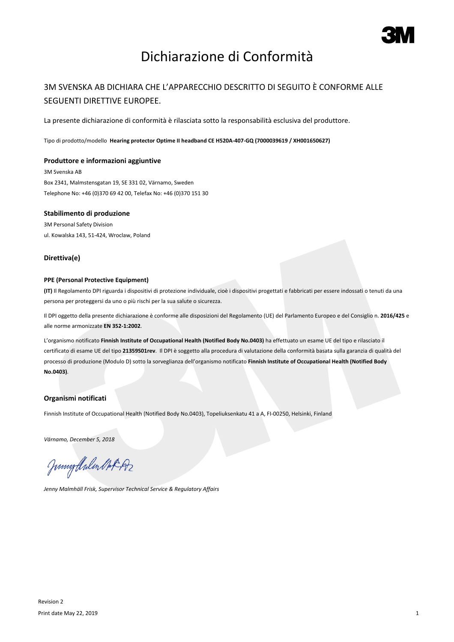

# Dichiarazione di Conformità

## 3M SVENSKA AB DICHIARA CHE L'APPARECCHIO DESCRITTO DI SEGUITO È CONFORME ALLE SEGUENTI DIRETTIVE EUROPEE.

La presente dichiarazione di conformità è rilasciata sotto la responsabilità esclusiva del produttore.

Tipo di prodotto/modello **Hearing protector Optime II headband CE H520A-407-GQ (7000039619 / XH001650627)**

#### **Produttore e informazioni aggiuntive**

3M Svenska AB Box 2341, Malmstensgatan 19, SE 331 02, Värnamo, Sweden Telephone No: +46 (0)370 69 42 00, Telefax No: +46 (0)370 151 30

#### **Stabilimento di produzione**

3M Personal Safety Division ul. Kowalska 143, 51-424, Wroclaw, Poland

#### **Direttiva(e)**

#### **PPE (Personal Protective Equipment)**

**(IT)** Il Regolamento DPI riguarda i dispositivi di protezione individuale, cioè i dispositivi progettati e fabbricati per essere indossati o tenuti da una persona per proteggersi da uno o più rischi per la sua salute o sicurezza.

Il DPI oggetto della presente dichiarazione è conforme alle disposizioni del Regolamento (UE) del Parlamento Europeo e del Consiglio n. **2016/425** e alle norme armonizzate **EN 352-1:2002**.

L'organismo notificato **Finnish Institute of Occupational Health (Notified Body No.0403)** ha effettuato un esame UE del tipo e rilasciato il certificato di esame UE del tipo **21359S01rev**. Il DPI è soggetto alla procedura di valutazione della conformità basata sulla garanzia di qualità del processo di produzione (Modulo D) sotto la sorveglianza dell'organismo notificato **Finnish Institute of Occupational Health (Notified Body No.0403)**.

### **Organismi notificati**

Finnish Institute of Occupational Health (Notified Body No.0403), Topeliuksenkatu 41 a A, FI-00250, Helsinki, Finland

*Värnamo, December 5, 2018*

Junigthalen Mot 192

*Jenny Malmhäll Frisk, Supervisor Technical Service & Regulatory Affairs*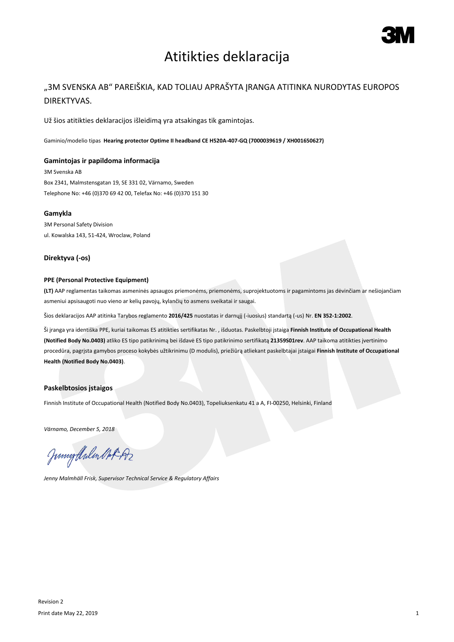

# Atitikties deklaracija

## "3M SVENSKA AB" PAREIŠKIA, KAD TOLIAU APRAŠYTA ĮRANGA ATITINKA NURODYTAS EUROPOS DIREKTYVAS.

Už šios atitikties deklaracijos išleidimą yra atsakingas tik gamintojas.

Gaminio/modelio tipas **Hearing protector Optime II headband CE H520A-407-GQ (7000039619 / XH001650627)**

#### **Gamintojas ir papildoma informacija**

3M Svenska AB Box 2341, Malmstensgatan 19, SE 331 02, Värnamo, Sweden Telephone No: +46 (0)370 69 42 00, Telefax No: +46 (0)370 151 30

#### **Gamykla**

3M Personal Safety Division ul. Kowalska 143, 51-424, Wroclaw, Poland

#### **Direktyva (-os)**

### **PPE (Personal Protective Equipment)**

**(LT)** AAP reglamentas taikomas asmeninės apsaugos priemonėms, priemonėms, suprojektuotoms ir pagamintoms jas dėvinčiam ar nešiojančiam asmeniui apsisaugoti nuo vieno ar kelių pavojų, kylančių to asmens sveikatai ir saugai.

Šios deklaracijos AAP atitinka Tarybos reglamento **2016/425** nuostatas ir darnųjį (-iuosius) standartą (-us) Nr. **EN 352-1:2002**.

Ši įranga yra identiška PPE, kuriai taikomas ES atitikties sertifikatas Nr. , išduotas. Paskelbtoji įstaiga **Finnish Institute of Occupational Health (Notified Body No.0403)** atliko ES tipo patikrinimą bei išdavė ES tipo patikrinimo sertifikatą **21359S01rev**. AAP taikoma atitikties įvertinimo procedūra, pagrįsta gamybos proceso kokybės užtikrinimu (D modulis), priežiūrą atliekant paskelbtajai įstaigai **Finnish Institute of Occupational Health (Notified Body No.0403)**.

#### **Paskelbtosios įstaigos**

Finnish Institute of Occupational Health (Notified Body No.0403), Topeliuksenkatu 41 a A, FI-00250, Helsinki, Finland

*Värnamo, December 5, 2018*

Junnytlalen Not Az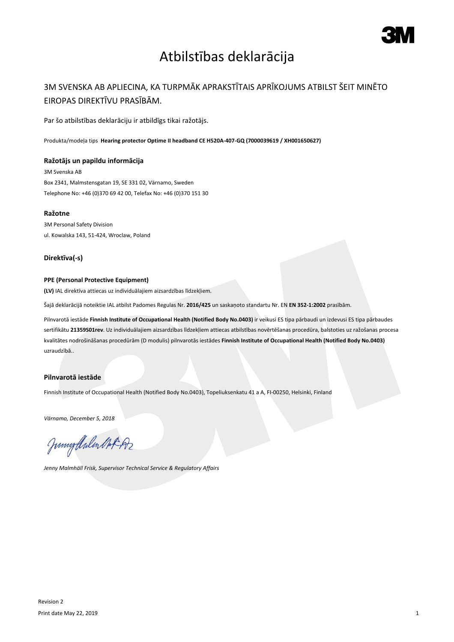

# Atbilstības deklarācija

## 3M SVENSKA AB APLIECINA, KA TURPMĀK APRAKSTĪTAIS APRĪKOJUMS ATBILST ŠEIT MINĒTO EIROPAS DIREKTĪVU PRASĪBĀM.

Par šo atbilstības deklarāciju ir atbildīgs tikai ražotājs.

Produkta/modeļa tips **Hearing protector Optime II headband CE H520A-407-GQ (7000039619 / XH001650627)**

#### **Ražotājs un papildu informācija**

3M Svenska AB Box 2341, Malmstensgatan 19, SE 331 02, Värnamo, Sweden Telephone No: +46 (0)370 69 42 00, Telefax No: +46 (0)370 151 30

#### **Ražotne**

3M Personal Safety Division ul. Kowalska 143, 51-424, Wroclaw, Poland

### **Direktīva(-s)**

#### **PPE (Personal Protective Equipment)**

**(LV)** IAL direktīva attiecas uz individuālajiem aizsardzības līdzekļiem.

Šajā deklarācijā noteiktie IAL atbilst Padomes Regulas Nr. **2016/425** un saskaņoto standartu Nr. EN **EN 352-1:2002** prasībām.

Pilnvarotā iestāde **Finnish Institute of Occupational Health (Notified Body No.0403)** ir veikusi ES tipa pārbaudi un izdevusi ES tipa pārbaudes sertifikātu **21359S01rev**. Uz individuālajiem aizsardzības līdzekļiem attiecas atbilstības novērtēšanas procedūra, balstoties uz ražošanas procesa kvalitātes nodrošināšanas procedūrām (D modulis) pilnvarotās iestādes **Finnish Institute of Occupational Health (Notified Body No.0403)** uzraudzībā..

### **Pilnvarotā iestāde**

Finnish Institute of Occupational Health (Notified Body No.0403), Topeliuksenkatu 41 a A, FI-00250, Helsinki, Finland

*Värnamo, December 5, 2018*

Junigalulen MAR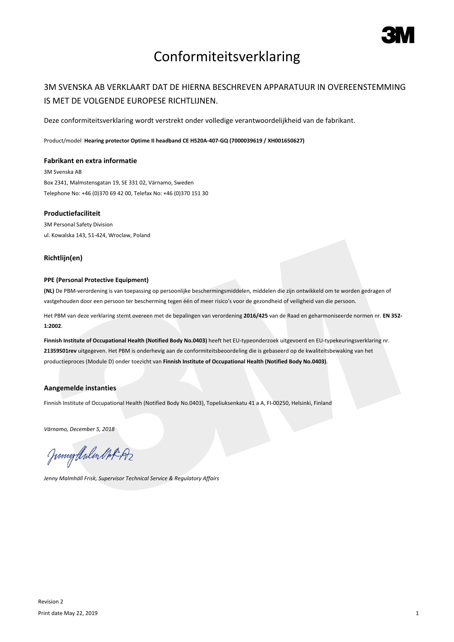

# Conformiteitsverklaring

## 3M SVENSKA AB VERKLAART DAT DE HIERNA BESCHREVEN APPARATUUR IN OVEREENSTEMMING IS MET DE VOLGENDE EUROPESE RICHTLIJNEN.

Deze conformiteitsverklaring wordt verstrekt onder volledige verantwoordelijkheid van de fabrikant.

Product/model **Hearing protector Optime II headband CE H520A-407-GQ (7000039619 / XH001650627)**

#### **Fabrikant en extra informatie**

3M Svenska AB Box 2341, Malmstensgatan 19, SE 331 02, Värnamo, Sweden Telephone No: +46 (0)370 69 42 00, Telefax No: +46 (0)370 151 30

### **Productiefaciliteit**

3M Personal Safety Division ul. Kowalska 143, 51-424, Wroclaw, Poland

### **Richtlijn(en)**

#### **PPE (Personal Protective Equipment)**

**(NL)** De PBM-verordening is van toepassing op persoonlijke beschermingsmiddelen, middelen die zijn ontwikkeld om te worden gedragen of vastgehouden door een persoon ter bescherming tegen één of meer risico's voor de gezondheid of veiligheid van die persoon.

Het PBM van deze verklaring stemt overeen met de bepalingen van verordening **2016/425** van de Raad en geharmoniseerde normen nr. **EN 352- 1:2002**.

**Finnish Institute of Occupational Health (Notified Body No.0403)** heeft het EU-typeonderzoek uitgevoerd en EU-typekeuringsverklaring nr. **21359S01rev** uitgegeven. Het PBM is onderhevig aan de conformiteitsbeoordeling die is gebaseerd op de kwaliteitsbewaking van het productieproces (Module D) onder toezicht van **Finnish Institute of Occupational Health (Notified Body No.0403)**.

#### **Aangemelde instanties**

Finnish Institute of Occupational Health (Notified Body No.0403), Topeliuksenkatu 41 a A, FI-00250, Helsinki, Finland

*Värnamo, December 5, 2018*

Junnytlalen Not Az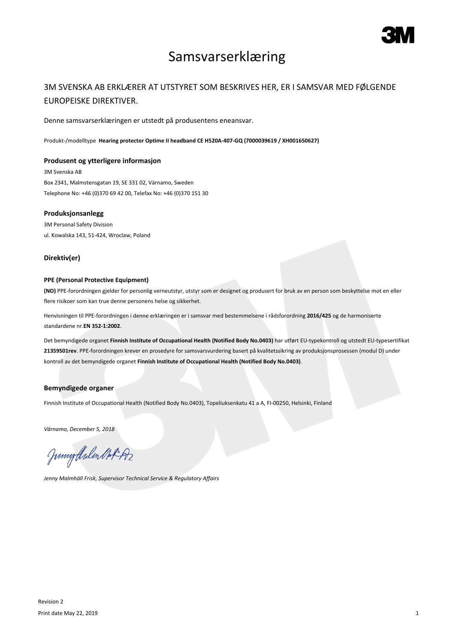

## Samsvarserklæring

## 3M SVENSKA AB ERKLÆRER AT UTSTYRET SOM BESKRIVES HER, ER I SAMSVAR MED FØLGENDE EUROPEISKE DIREKTIVER.

Denne samsvarserklæringen er utstedt på produsentens eneansvar.

Produkt-/modelltype **Hearing protector Optime II headband CE H520A-407-GQ (7000039619 / XH001650627)**

#### **Produsent og ytterligere informasjon**

3M Svenska AB Box 2341, Malmstensgatan 19, SE 331 02, Värnamo, Sweden Telephone No: +46 (0)370 69 42 00, Telefax No: +46 (0)370 151 30

#### **Produksjonsanlegg**

3M Personal Safety Division ul. Kowalska 143, 51-424, Wroclaw, Poland

### **Direktiv(er)**

#### **PPE (Personal Protective Equipment)**

**(NO)** PPE-forordningen gjelder for personlig verneutstyr, utstyr som er designet og produsert for bruk av en person som beskyttelse mot en eller flere risikoer som kan true denne personens helse og sikkerhet.

Henvisningen til PPE-forordningen i denne erklæringen er i samsvar med bestemmelsene i rådsforordning **2016/425** og de harmoniserte standardene nr.**EN 352-1:2002**.

Det bemyndigede organet **Finnish Institute of Occupational Health (Notified Body No.0403)** har utført EU-typekontroll og utstedt EU-typesertifikat **21359S01rev**. PPE-forordningen krever en prosedyre for samsvarsvurdering basert på kvalitetssikring av produksjonsprosessen (modul D) under kontroll av det bemyndigede organet **Finnish Institute of Occupational Health (Notified Body No.0403)**.

### **Bemyndigede organer**

Finnish Institute of Occupational Health (Notified Body No.0403), Topeliuksenkatu 41 a A, FI-00250, Helsinki, Finland

*Värnamo, December 5, 2018*

Junnytlalen Not Az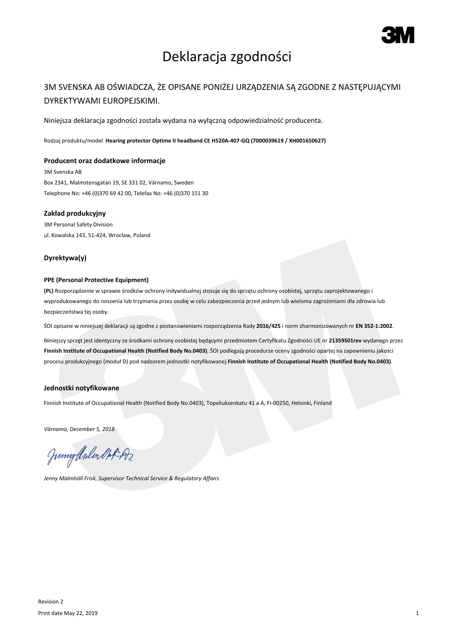

# Deklaracja zgodności

## 3M SVENSKA AB OŚWIADCZA, ŻE OPISANE PONIŻEJ URZĄDZENIA SĄ ZGODNE Z NASTĘPUJĄCYMI DYREKTYWAMI EUROPEJSKIMI.

Niniejsza deklaracja zgodności została wydana na wyłączną odpowiedzialność producenta.

Rodzaj produktu/model **Hearing protector Optime II headband CE H520A-407-GQ (7000039619 / XH001650627)**

#### **Producent oraz dodatkowe informacje**

3M Svenska AB Box 2341, Malmstensgatan 19, SE 331 02, Värnamo, Sweden Telephone No: +46 (0)370 69 42 00, Telefax No: +46 (0)370 151 30

#### **Zakład produkcyjny**

3M Personal Safety Division ul. Kowalska 143, 51-424, Wroclaw, Poland

#### **Dyrektywa(y)**

#### **PPE (Personal Protective Equipment)**

**(PL)** Rozporządzenie w sprawie środków ochrony indywidualnej stosuje się do sprzętu ochrony osobistej, sprzętu zaprojektowanego i wyprodukowanego do noszenia lub trzymania przez osobę w celu zabezpieczenia przed jednym lub wieloma zagrożeniami dla zdrowia lub bezpieczeństwa tej osoby.

ŚOI opisane w niniejszej deklaracji są zgodne z postanowieniami rozporządzenia Rady **2016/425** i norm zharmonizowanych nr **EN 352-1:2002**.

Niniejszy sprzęt jest identyczny ze środkami ochrony osobistej będącymi przedmiotem Certyfikatu Zgodności UE nr **21359S01rev** wydanego przez **Finnish Institute of Occupational Health (Notified Body No.0403)**. ŚOI podlegają procedurze oceny zgodności opartej na zapewnieniu jakości procesu produkcyjnego (moduł D) pod nadzorem jednostki notyfikowanej **Finnish Institute of Occupational Health (Notified Body No.0403)**.

### **Jednostki notyfikowane**

Finnish Institute of Occupational Health (Notified Body No.0403), Topeliuksenkatu 41 a A, FI-00250, Helsinki, Finland

*Värnamo, December 5, 2018*

Junnytlalen Not Az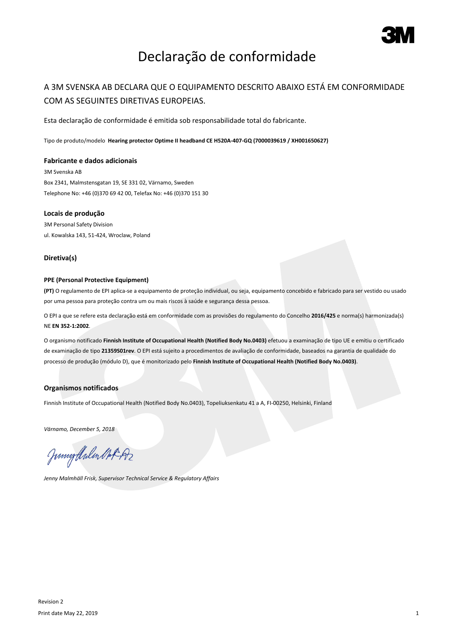

# Declaração de conformidade

## A 3M SVENSKA AB DECLARA QUE O EQUIPAMENTO DESCRITO ABAIXO ESTÁ EM CONFORMIDADE COM AS SEGUINTES DIRETIVAS EUROPEIAS.

Esta declaração de conformidade é emitida sob responsabilidade total do fabricante.

Tipo de produto/modelo **Hearing protector Optime II headband CE H520A-407-GQ (7000039619 / XH001650627)**

#### **Fabricante e dados adicionais**

3M Svenska AB Box 2341, Malmstensgatan 19, SE 331 02, Värnamo, Sweden Telephone No: +46 (0)370 69 42 00, Telefax No: +46 (0)370 151 30

#### **Locais de produção**

3M Personal Safety Division ul. Kowalska 143, 51-424, Wroclaw, Poland

#### **Diretiva(s)**

#### **PPE (Personal Protective Equipment)**

**(PT)** O regulamento de EPI aplica-se a equipamento de proteção individual, ou seja, equipamento concebido e fabricado para ser vestido ou usado por uma pessoa para proteção contra um ou mais riscos à saúde e segurança dessa pessoa.

O EPI a que se refere esta declaração está em conformidade com as provisões do regulamento do Concelho **2016/425** e norma(s) harmonizada(s) NE **EN 352-1:2002**.

O organismo notificado **Finnish Institute of Occupational Health (Notified Body No.0403)** efetuou a examinação de tipo UE e emitiu o certificado de examinação de tipo **21359S01rev**. O EPI está sujeito a procedimentos de avaliação de conformidade, baseados na garantia de qualidade do processo de produção (módulo D), que é monitorizado pelo **Finnish Institute of Occupational Health (Notified Body No.0403)**.

#### **Organismos notificados**

Finnish Institute of Occupational Health (Notified Body No.0403), Topeliuksenkatu 41 a A, FI-00250, Helsinki, Finland

*Värnamo, December 5, 2018*

Junnytlalen Not Az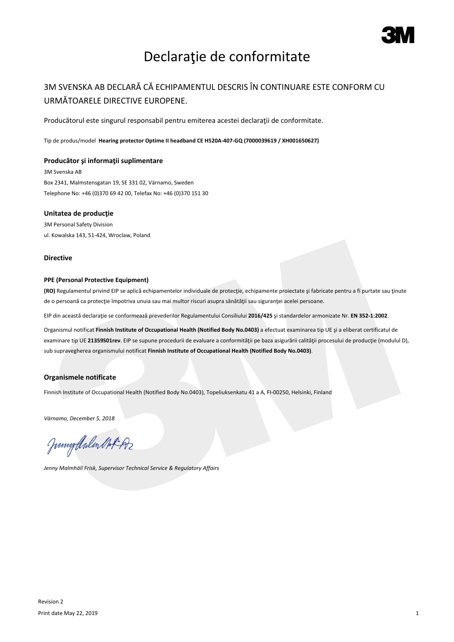

# Declaraţie de conformitate

## 3M SVENSKA AB DECLARĂ CĂ ECHIPAMENTUL DESCRIS ÎN CONTINUARE ESTE CONFORM CU URMĂTOARELE DIRECTIVE EUROPENE.

Producătorul este singurul responsabil pentru emiterea acestei declarații de conformitate.

Tip de produs/model **Hearing protector Optime II headband CE H520A-407-GQ (7000039619 / XH001650627)**

#### **Producător şi informaţii suplimentare**

3M Svenska AB Box 2341, Malmstensgatan 19, SE 331 02, Värnamo, Sweden Telephone No: +46 (0)370 69 42 00, Telefax No: +46 (0)370 151 30

#### **Unitatea de producţie**

3M Personal Safety Division ul. Kowalska 143, 51-424, Wroclaw, Poland

#### **Directive**

#### **PPE (Personal Protective Equipment)**

**(RO)** Regulamentul privind EIP se aplică echipamentelor individuale de protecţie, echipamente proiectate şi fabricate pentru a fi purtate sau ţinute de o persoană ca protecţie împotriva unuia sau mai multor riscuri asupra sănătăţii sau siguranţei acelei persoane.

EIP din această declaraţie se conformează prevederilor Regulamentului Consiliului **2016/425** şi standardelor armonizate Nr. **EN 352-1:2002**.

Organismul notificat **Finnish Institute of Occupational Health (Notified Body No.0403)** a efectuat examinarea tip UE şi a eliberat certificatul de examinare tip UE **21359S01rev**. EIP se supune procedurii de evaluare a conformităţii pe baza asigurării calităţii procesului de producţie (modulul D), sub supravegherea organismului notificat **Finnish Institute of Occupational Health (Notified Body No.0403)**.

### **Organismele notificate**

Finnish Institute of Occupational Health (Notified Body No.0403), Topeliuksenkatu 41 a A, FI-00250, Helsinki, Finland

*Värnamo, December 5, 2018*

Junigalulen Oct 192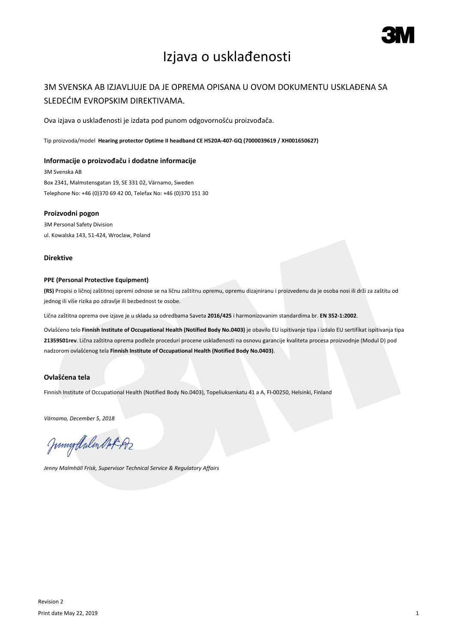

# Izjava o usklađenosti

## 3M SVENSKA AB IZJAVLJUJE DA JE OPREMA OPISANA U OVOM DOKUMENTU USKLAĐENA SA SLEDEĆIM EVROPSKIM DIREKTIVAMA.

Ova izjava o usklađenosti je izdata pod punom odgovornošću proizvođača.

Tip proizvoda/model **Hearing protector Optime II headband CE H520A-407-GQ (7000039619 / XH001650627)**

#### **Informacije o proizvođaču i dodatne informacije**

3M Svenska AB Box 2341, Malmstensgatan 19, SE 331 02, Värnamo, Sweden Telephone No: +46 (0)370 69 42 00, Telefax No: +46 (0)370 151 30

#### **Proizvodni pogon**

3M Personal Safety Division ul. Kowalska 143, 51-424, Wroclaw, Poland

#### **Direktive**

#### **PPE (Personal Protective Equipment)**

**(RS)** Propisi o ličnoj zaštitnoj opremi odnose se na ličnu zaštitnu opremu, opremu dizajniranu i proizvedenu da je osoba nosi ili drži za zaštitu od jednog ili više rizika po zdravlje ili bezbednost te osobe.

Lična zaštitna oprema ove izjave je u skladu sa odredbama Saveta **2016/425** i harmonizovanim standardima br. **EN 352-1:2002**.

Ovlašćeno telo **Finnish Institute of Occupational Health (Notified Body No.0403)** je obavilo EU ispitivanje tipa i izdalo EU sertifikat ispitivanja tipa **21359S01rev**. Lična zaštitna oprema podleže proceduri procene usklađenosti na osnovu garancije kvaliteta procesa proizvodnje (Modul D) pod nadzorom ovlašćenog tela **Finnish Institute of Occupational Health (Notified Body No.0403)**.

### **Ovlašćena tela**

Finnish Institute of Occupational Health (Notified Body No.0403), Topeliuksenkatu 41 a A, FI-00250, Helsinki, Finland

*Värnamo, December 5, 2018*

Junigalulen MAR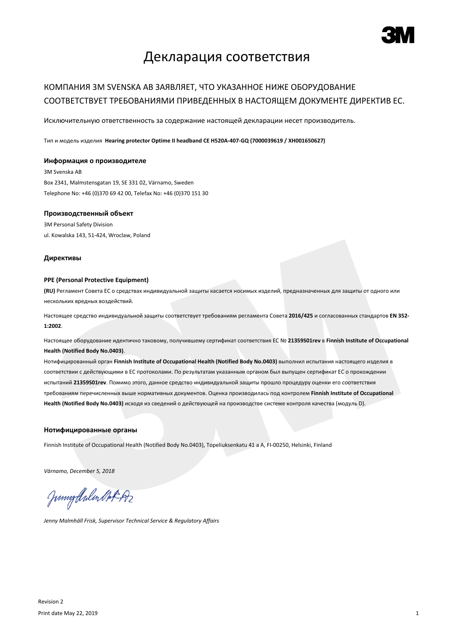

## Декларация соответствия

## КОМПАНИЯ 3M SVENSKA AB ЗАЯВЛЯЕТ, ЧТО УКАЗАННОЕ НИЖЕ ОБОРУДОВАНИЕ СООТВЕТСТВУЕТ ТРЕБОВАНИЯМИ ПРИВЕДЕННЫХ В НАСТОЯЩЕМ ДОКУМЕНТЕ ДИРЕКТИВ ЕС.

Исключительную ответственность за содержание настоящей декларации несет производитель.

Тип и модель изделия **Hearing protector Optime II headband CE H520A-407-GQ (7000039619 / XH001650627)**

#### **Информация о производителе**

3M Svenska AB Box 2341, Malmstensgatan 19, SE 331 02, Värnamo, Sweden Telephone No: +46 (0)370 69 42 00, Telefax No: +46 (0)370 151 30

#### **Производственный объект**

3M Personal Safety Division ul. Kowalska 143, 51-424, Wroclaw, Poland

#### **Директивы**

#### **PPE (Personal Protective Equipment)**

**(RU)** Регламент Совета ЕС о средствах индивидуальной защиты касается носимых изделий, предназначенных для защиты от одного или нескольких вредных воздействий.

Настоящее средство индивидуальной защиты соответствует требованиям регламента Совета **2016/425** и согласованных стандартов **EN 352- 1:2002**.

Настоящее оборудование идентично таковому, получившему сертификат соответствия ЕС № **21359S01rev** в **Finnish Institute of Occupational Health (Notified Body No.0403)**.

Нотифицированный орган **Finnish Institute of Occupational Health (Notified Body No.0403)** выполнил испытания настоящего изделия в соответствии с действующими в ЕС протоколами. По результатам указанным органом был выпущен сертификат ЕС о прохождении испытаний **21359S01rev**. Помимо этого, данное средство индивидуальной защиты прошло процедуру оценки его соответствия требованиям перечисленных выше нормативных документов. Оценка производилась под контролем **Finnish Institute of Occupational Health (Notified Body No.0403)** исходя из сведений о действующей на производстве системе контроля качества (модуль D).

#### **Нотифицированные органы**

Finnish Institute of Occupational Health (Notified Body No.0403), Topeliuksenkatu 41 a A, FI-00250, Helsinki, Finland

*Värnamo, December 5, 2018*

Junnythulen Not Az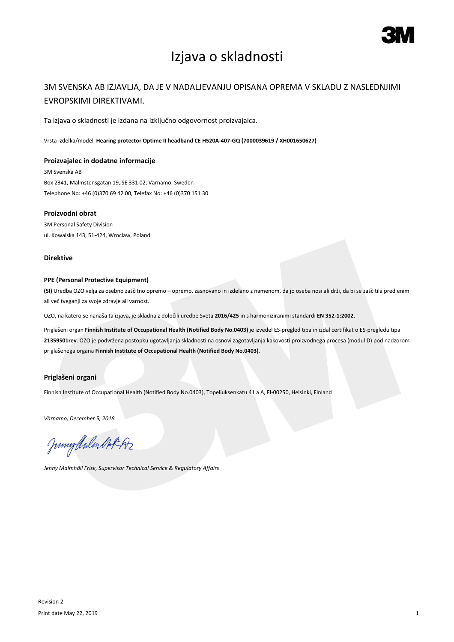

# Izjava o skladnosti

### 3M SVENSKA AB IZJAVLJA, DA JE V NADALJEVANJU OPISANA OPREMA V SKLADU Z NASLEDNJIMI EVROPSKIMI DIREKTIVAMI.

Ta izjava o skladnosti je izdana na izključno odgovornost proizvajalca.

Vrsta izdelka/model **Hearing protector Optime II headband CE H520A-407-GQ (7000039619 / XH001650627)**

#### **Proizvajalec in dodatne informacije**

3M Svenska AB Box 2341, Malmstensgatan 19, SE 331 02, Värnamo, Sweden Telephone No: +46 (0)370 69 42 00, Telefax No: +46 (0)370 151 30

### **Proizvodni obrat**

3M Personal Safety Division ul. Kowalska 143, 51-424, Wroclaw, Poland

#### **Direktive**

### **PPE (Personal Protective Equipment)**

**(SI)** Uredba OZO velja za osebno zaščitno opremo – opremo, zasnovano in izdelano z namenom, da jo oseba nosi ali drži, da bi se zaščitila pred enim ali več tveganji za svoje zdravje ali varnost.

OZO, na katero se nanaša ta izjava, je skladna z določili uredbe Sveta **2016/425** in s harmoniziranimi standardi **EN 352-1:2002**.

Priglašeni organ **Finnish Institute of Occupational Health (Notified Body No.0403)** je izvedel ES-pregled tipa in izdal certifikat o ES-pregledu tipa **21359S01rev**. OZO je podvržena postopku ugotavljanja skladnosti na osnovi zagotavljanja kakovosti proizvodnega procesa (modul D) pod nadzorom priglašenega organa **Finnish Institute of Occupational Health (Notified Body No.0403)**.

### **Priglašeni organi**

Finnish Institute of Occupational Health (Notified Body No.0403), Topeliuksenkatu 41 a A, FI-00250, Helsinki, Finland

*Värnamo, December 5, 2018*

Junigalulen MAR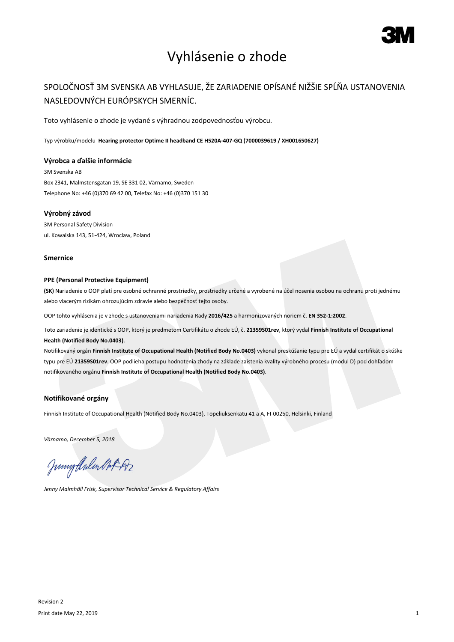

# Vyhlásenie o zhode

## SPOLOČNOSŤ 3M SVENSKA AB VYHLASUJE, ŽE ZARIADENIE OPÍSANÉ NIŽŠIE SPĹŇA USTANOVENIA NASLEDOVNÝCH EURÓPSKYCH SMERNÍC.

Toto vyhlásenie o zhode je vydané s výhradnou zodpovednosťou výrobcu.

Typ výrobku/modelu **Hearing protector Optime II headband CE H520A-407-GQ (7000039619 / XH001650627)**

#### **Výrobca a ďalšie informácie**

3M Svenska AB Box 2341, Malmstensgatan 19, SE 331 02, Värnamo, Sweden Telephone No: +46 (0)370 69 42 00, Telefax No: +46 (0)370 151 30

#### **Výrobný závod**

3M Personal Safety Division ul. Kowalska 143, 51-424, Wroclaw, Poland

#### **Smernice**

#### **PPE (Personal Protective Equipment)**

**(SK)** Nariadenie o OOP platí pre osobné ochranné prostriedky, prostriedky určené a vyrobené na účel nosenia osobou na ochranu proti jednému alebo viacerým rizikám ohrozujúcim zdravie alebo bezpečnosť tejto osoby.

OOP tohto vyhlásenia je v zhode s ustanoveniami nariadenia Rady **2016/425** a harmonizovaných noriem č. **EN 352-1:2002**.

Toto zariadenie je identické s OOP, ktorý je predmetom Certifikátu o zhode EÚ, č. **21359S01rev**, ktorý vydal **Finnish Institute of Occupational Health (Notified Body No.0403)**.

Notifikovaný orgán **Finnish Institute of Occupational Health (Notified Body No.0403)** vykonal preskúšanie typu pre EÚ a vydal certifikát o skúške typu pre EÚ **21359S01rev**. OOP podlieha postupu hodnotenia zhody na základe zaistenia kvality výrobného procesu (modul D) pod dohľadom notifikovaného orgánu **Finnish Institute of Occupational Health (Notified Body No.0403)**.

#### **Notifikované orgány**

Finnish Institute of Occupational Health (Notified Body No.0403), Topeliuksenkatu 41 a A, FI-00250, Helsinki, Finland

*Värnamo, December 5, 2018*

Junigthalen Mot 192

*Jenny Malmhäll Frisk, Supervisor Technical Service & Regulatory Affairs*